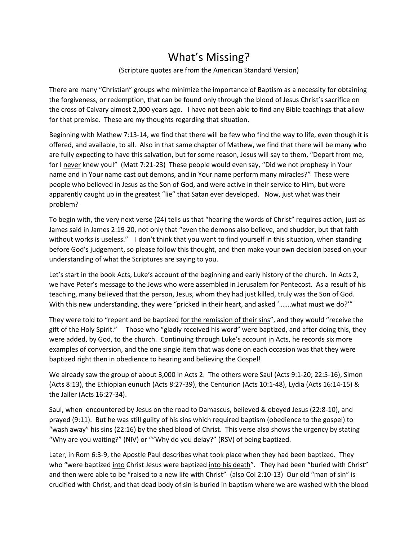## What's Missing?

## (Scripture quotes are from the American Standard Version)

There are many "Christian" groups who minimize the importance of Baptism as a necessity for obtaining the forgiveness, or redemption, that can be found only through the blood of Jesus Christ's sacrifice on the cross of Calvary almost 2,000 years ago. I have not been able to find any Bible teachings that allow for that premise. These are my thoughts regarding that situation.

Beginning with Mathew 7:13-14, we find that there will be few who find the way to life, even though it is offered, and available, to all. Also in that same chapter of Mathew, we find that there will be many who are fully expecting to have this salvation, but for some reason, Jesus will say to them, "Depart from me, for I never knew you!" (Matt 7:21-23) These people would even say, "Did we not prophesy in Your name and in Your name cast out demons, and in Your name perform many miracles?" These were people who believed in Jesus as the Son of God, and were active in their service to Him, but were apparently caught up in the greatest "lie" that Satan ever developed. Now, just what was their problem?

To begin with, the very next verse (24) tells us that "hearing the words of Christ" requires action, just as James said in James 2:19-20, not only that "even the demons also believe, and shudder, but that faith without works is useless." I don't think that you want to find yourself in this situation, when standing before God's judgement, so please follow this thought, and then make your own decision based on your understanding of what the Scriptures are saying to you.

Let's start in the book Acts, Luke's account of the beginning and early history of the church. In Acts 2, we have Peter's message to the Jews who were assembled in Jerusalem for Pentecost. As a result of his teaching, many believed that the person, Jesus, whom they had just killed, truly was the Son of God. With this new understanding, they were "pricked in their heart, and asked '…….what must we do?'"

They were told to "repent and be baptized for the remission of their sins", and they would "receive the gift of the Holy Spirit." Those who "gladly received his word" were baptized, and after doing this, they were added, by God, to the church. Continuing through Luke's account in Acts, he records six more examples of conversion, and the one single item that was done on each occasion was that they were baptized right then in obedience to hearing and believing the Gospel!

We already saw the group of about 3,000 in Acts 2. The others were Saul (Acts 9:1-20; 22:5-16), Simon (Acts 8:13), the Ethiopian eunuch (Acts 8:27-39), the Centurion (Acts 10:1-48), Lydia (Acts 16:14-15) & the Jailer (Acts 16:27-34).

Saul, when encountered by Jesus on the road to Damascus, believed & obeyed Jesus (22:8-10), and prayed (9:11). But he was still guilty of his sins which required baptism (obedience to the gospel) to "wash away" his sins (22:16) by the shed blood of Christ. This verse also shows the urgency by stating "Why are you waiting?" (NIV) or ""Why do you delay?" (RSV) of being baptized.

Later, in Rom 6:3-9, the Apostle Paul describes what took place when they had been baptized. They who "were baptized into Christ Jesus were baptized into his death". They had been "buried with Christ" and then were able to be "raised to a new life with Christ" (also Col 2:10-13) Our old "man of sin" is crucified with Christ, and that dead body of sin is buried in baptism where we are washed with the blood